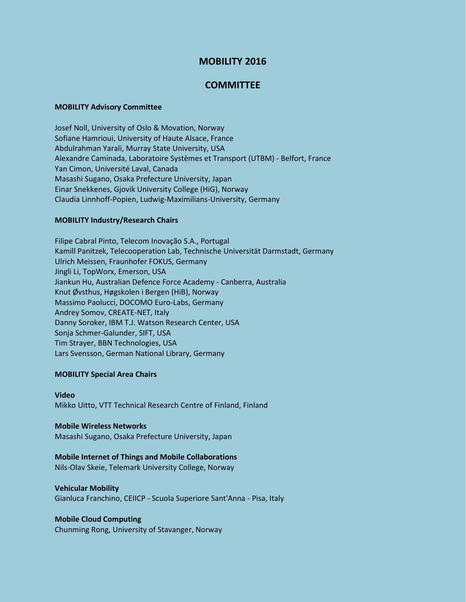# **MOBILITY 2016**

## **COMMITTEE**

#### **MOBILITY Advisory Committee**

Josef Noll, University of Oslo & Movation, Norway Sofiane Hamrioui, University of Haute Alsace, France Abdulrahman Yarali, Murray State University, USA Alexandre Caminada, Laboratoire Systèmes et Transport (UTBM) - Belfort, France Yan Cimon, Université Laval, Canada Masashi Sugano, Osaka Prefecture University, Japan Einar Snekkenes, Gjovik University College (HiG), Norway Claudia Linnhoff-Popien, Ludwig-Maximilians-University, Germany

#### **MOBILITY Industry/Research Chairs**

Filipe Cabral Pinto, Telecom Inovação S.A., Portugal Kamill Panitzek, Telecooperation Lab, Technische Universität Darmstadt, Germany Ulrich Meissen, Fraunhofer FOKUS, Germany Jingli Li, TopWorx, Emerson, USA Jiankun Hu, Australian Defence Force Academy - Canberra, Australia Knut Øvsthus, Høgskolen i Bergen (HiB), Norway Massimo Paolucci, DOCOMO Euro-Labs, Germany Andrey Somov, CREATE-NET, Italy Danny Soroker, IBM T.J. Watson Research Center, USA Sonja Schmer-Galunder, SIFT, USA Tim Strayer, BBN Technologies, USA Lars Svensson, German National Library, Germany

#### **MOBILITY Special Area Chairs**

#### **Video** Mikko Uitto, VTT Technical Research Centre of Finland, Finland

#### **Mobile Wireless Networks**

Masashi Sugano, Osaka Prefecture University, Japan

#### **Mobile Internet of Things and Mobile Collaborations**

Nils-Olav Skeie, Telemark University College, Norway

### **Vehicular Mobility**

Gianluca Franchino, CEIICP - Scuola Superiore Sant'Anna - Pisa, Italy

#### **Mobile Cloud Computing**

Chunming Rong, University of Stavanger, Norway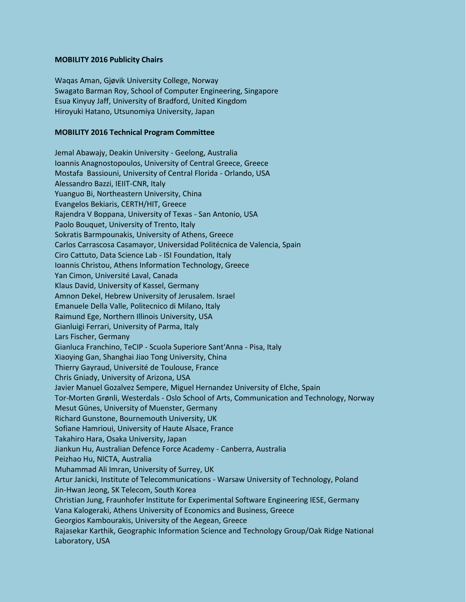#### **MOBILITY 2016 Publicity Chairs**

Waqas Aman, Gjøvik University College, Norway Swagato Barman Roy, School of Computer Engineering, Singapore Esua Kinyuy Jaff, University of Bradford, United Kingdom Hiroyuki Hatano, Utsunomiya University, Japan

#### **MOBILITY 2016 Technical Program Committee**

Jemal Abawajy, Deakin University - Geelong, Australia Ioannis Anagnostopoulos, University of Central Greece, Greece Mostafa Bassiouni, University of Central Florida - Orlando, USA Alessandro Bazzi, IEIIT-CNR, Italy Yuanguo Bi, Northeastern University, China Evangelos Bekiaris, CERTH/HIT, Greece Rajendra V Boppana, University of Texas - San Antonio, USA Paolo Bouquet, University of Trento, Italy Sokratis Barmpounakis, University of Athens, Greece Carlos Carrascosa Casamayor, Universidad Politécnica de Valencia, Spain Ciro Cattuto, Data Science Lab - ISI Foundation, Italy Ioannis Christou, Athens Information Technology, Greece Yan Cimon, Université Laval, Canada Klaus David, University of Kassel, Germany Amnon Dekel, Hebrew University of Jerusalem. Israel Emanuele Della Valle, Politecnico di Milano, Italy Raimund Ege, Northern Illinois University, USA Gianluigi Ferrari, University of Parma, Italy Lars Fischer, Germany Gianluca Franchino, TeCIP - Scuola Superiore Sant'Anna - Pisa, Italy Xiaoying Gan, Shanghai Jiao Tong University, China Thierry Gayraud, Université de Toulouse, France Chris Gniady, University of Arizona, USA Javier Manuel Gozalvez Sempere, Miguel Hernandez University of Elche, Spain Tor-Morten Grønli, Westerdals - Oslo School of Arts, Communication and Technology, Norway Mesut Günes, University of Muenster, Germany Richard Gunstone, Bournemouth University, UK Sofiane Hamrioui, University of Haute Alsace, France Takahiro Hara, Osaka University, Japan Jiankun Hu, Australian Defence Force Academy - Canberra, Australia Peizhao Hu, NICTA, Australia Muhammad Ali Imran, University of Surrey, UK Artur Janicki, Institute of Telecommunications - Warsaw University of Technology, Poland Jin-Hwan Jeong, SK Telecom, South Korea Christian Jung, Fraunhofer Institute for Experimental Software Engineering IESE, Germany Vana Kalogeraki, Athens University of Economics and Business, Greece Georgios Kambourakis, University of the Aegean, Greece Rajasekar Karthik, Geographic Information Science and Technology Group/Oak Ridge National Laboratory, USA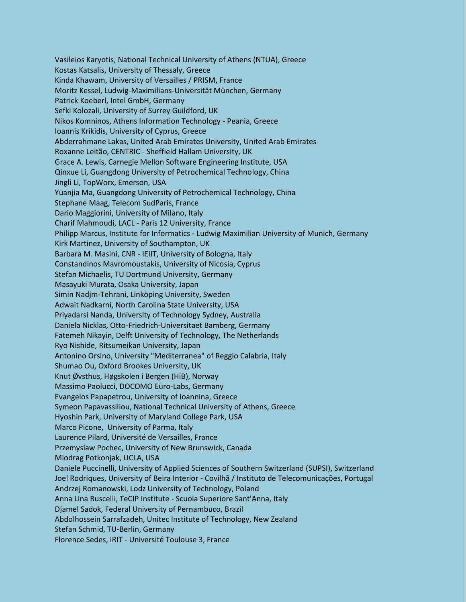Vasileios Karyotis, National Technical University of Athens (NTUA), Greece Kostas Katsalis, University of Thessaly, Greece Kinda Khawam, University of Versailles / PRISM, France Moritz Kessel, Ludwig-Maximilians-Universität München, Germany Patrick Koeberl, Intel GmbH, Germany Sefki Kolozali, University of Surrey Guildford, UK Nikos Komninos, Athens Information Technology - Peania, Greece Ioannis Krikidis, University of Cyprus, Greece Abderrahmane Lakas, United Arab Emirates University, United Arab Emirates Roxanne Leitão, CENTRIC - Sheffield Hallam University, UK Grace A. Lewis, Carnegie Mellon Software Engineering Institute, USA Qinxue Li, Guangdong University of Petrochemical Technology, China Jingli Li, TopWorx, Emerson, USA Yuanjia Ma, Guangdong University of Petrochemical Technology, China Stephane Maag, Telecom SudParis, France Dario Maggiorini, University of Milano, Italy Charif Mahmoudi, LACL - Paris 12 University, France Philipp Marcus, Institute for Informatics - Ludwig Maximilian University of Munich, Germany Kirk Martinez, University of Southampton, UK Barbara M. Masini, CNR - IEIIT, University of Bologna, Italy Constandinos Mavromoustakis, University of Nicosia, Cyprus Stefan Michaelis, TU Dortmund University, Germany Masayuki Murata, Osaka University, Japan Simin Nadjm-Tehrani, Linköping University, Sweden Adwait Nadkarni, North Carolina State University, USA Priyadarsi Nanda, University of Technology Sydney, Australia Daniela Nicklas, Otto-Friedrich-Universitaet Bamberg, Germany Fatemeh Nikayin, Delft University of Technology, The Netherlands Ryo Nishide, Ritsumeikan University, Japan Antonino Orsino, University "Mediterranea" of Reggio Calabria, Italy Shumao Ou, Oxford Brookes University, UK Knut Øvsthus, Høgskolen i Bergen (HiB), Norway Massimo Paolucci, DOCOMO Euro-Labs, Germany Evangelos Papapetrou, University of Ioannina, Greece Symeon Papavassiliou, National Technical University of Athens, Greece Hyoshin Park, University of Maryland College Park, USA Marco Picone, University of Parma, Italy Laurence Pilard, Université de Versailles, France Przemyslaw Pochec, University of New Brunswick, Canada Miodrag Potkonjak, UCLA, USA Daniele Puccinelli, University of Applied Sciences of Southern Switzerland (SUPSI), Switzerland Joel Rodriques, University of Beira Interior - Covilhã / Instituto de Telecomunicações, Portugal Andrzej Romanowski, Lodz University of Technology, Poland Anna Lina Ruscelli, TeCIP Institute - Scuola Superiore Sant'Anna, Italy Djamel Sadok, Federal University of Pernambuco, Brazil Abdolhossein Sarrafzadeh, Unitec Institute of Technology, New Zealand Stefan Schmid, TU-Berlin, Germany Florence Sedes, IRIT - Université Toulouse 3, France